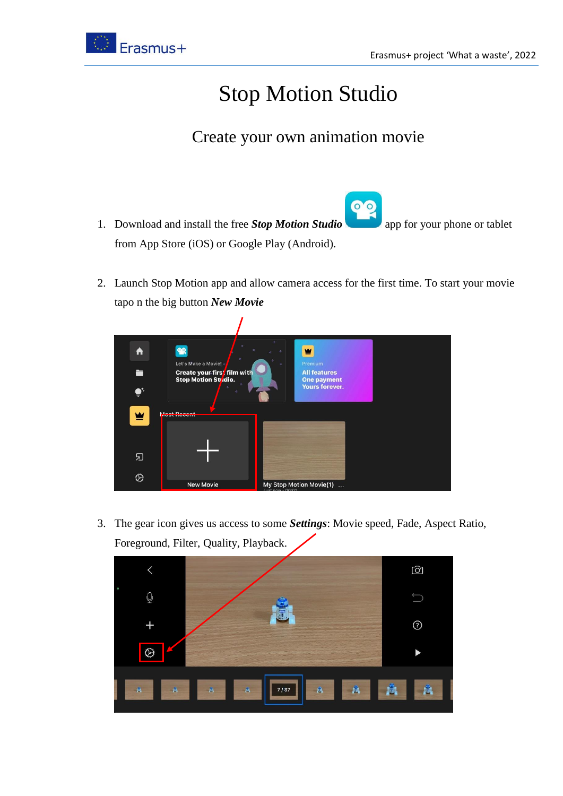

## Stop Motion Studio

## Create your own animation movie

- 00 1. Download and install the free *Stop Motion Studio* app for your phone or tablet from App Store (iOS) or Google Play (Android).
- 2. Launch Stop Motion app and allow camera access for the first time. To start your movie tapo n the big button *New Movie*



3. The gear icon gives us access to some *Settings*: Movie speed, Fade, Aspect Ratio, Foreground, Filter, Quality, Playback.

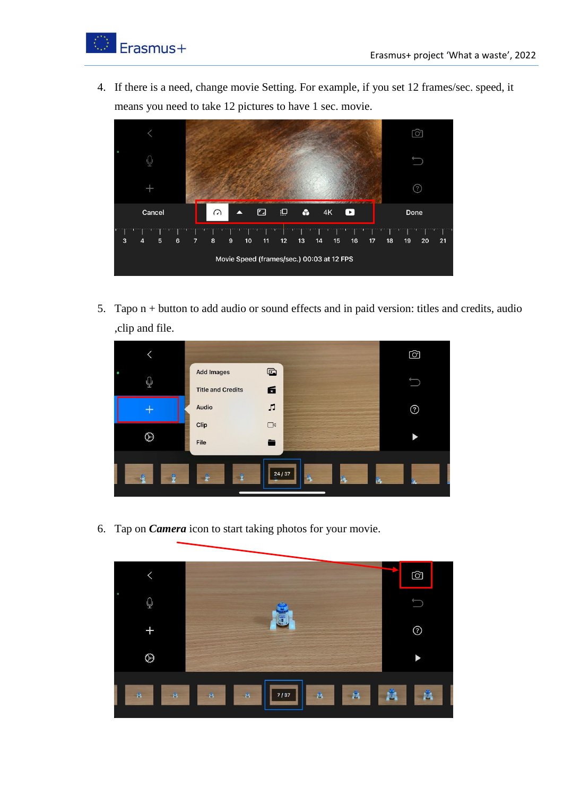

4. If there is a need, change movie Setting. For example, if you set 12 frames/sec. speed, it means you need to take 12 pictures to have 1 sec. movie.



5. Tapo n + button to add audio or sound effects and in paid version: titles and credits, audio ,clip and file.



6. Tap on *Camera* icon to start taking photos for your movie.